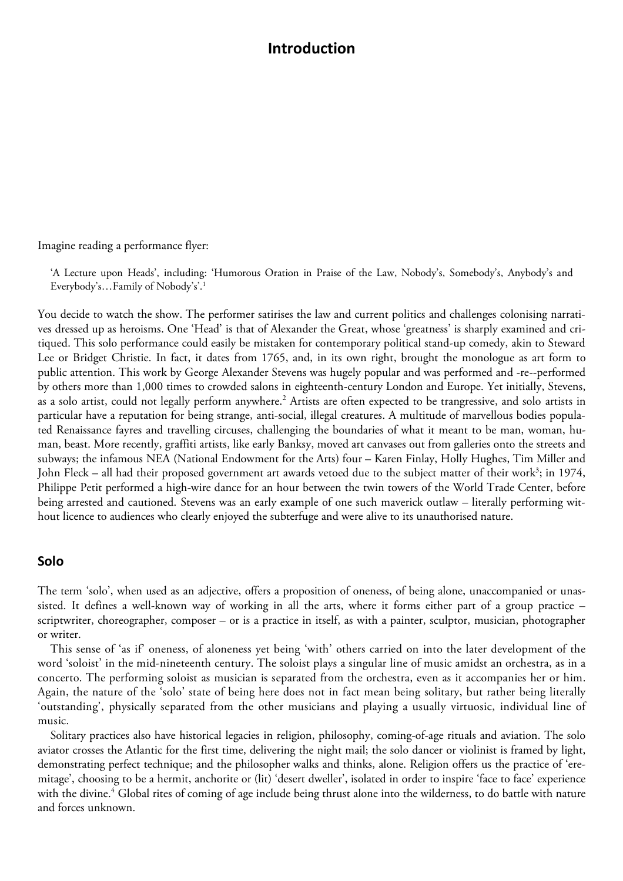# **Introduction**

Imagine reading a performance flyer:

'A Lecture upon Heads', including: 'Humorous Oration in Praise of the Law, Nobody's, Somebody's, Anybody's and Everybody's…Family of Nobody's'.1

You decide to watch the show. The performer satirises the law and current politics and challenges colonising narratives dressed up as heroisms. One 'Head' is that of Alexander the Great, whose 'greatness' is sharply examined and critiqued. This solo performance could easily be mistaken for contemporary political stand-up comedy, akin to Steward Lee or Bridget Christie. In fact, it dates from 1765, and, in its own right, brought the monologue as art form to public attention. This work by George Alexander Stevens was hugely popular and was performed and -re--performed by others more than 1,000 times to crowded salons in eighteenth-century London and Europe. Yet initially, Stevens, as a solo artist, could not legally perform anywhere.<sup>2</sup> Artists are often expected to be trangressive, and solo artists in particular have a reputation for being strange, anti-social, illegal creatures. A multitude of marvellous bodies populated Renaissance fayres and travelling circuses, challenging the boundaries of what it meant to be man, woman, human, beast. More recently, graffiti artists, like early Banksy, moved art canvases out from galleries onto the streets and subways; the infamous NEA (National Endowment for the Arts) four – Karen Finlay, Holly Hughes, Tim Miller and John Fleck – all had their proposed government art awards vetoed due to the subject matter of their work<sup>3</sup>; in 1974, Philippe Petit performed a high-wire dance for an hour between the twin towers of the World Trade Center, before being arrested and cautioned. Stevens was an early example of one such maverick outlaw – literally performing without licence to audiences who clearly enjoyed the subterfuge and were alive to its unauthorised nature.

#### **Solo**

The term 'solo', when used as an adjective, offers a proposition of oneness, of being alone, unaccompanied or unassisted. It defines a well-known way of working in all the arts, where it forms either part of a group practice – scriptwriter, choreographer, composer – or is a practice in itself, as with a painter, sculptor, musician, photographer or writer.

This sense of 'as if' oneness, of aloneness yet being 'with' others carried on into the later development of the word 'soloist' in the mid-nineteenth century. The soloist plays a singular line of music amidst an orchestra, as in a concerto. The performing soloist as musician is separated from the orchestra, even as it accompanies her or him. Again, the nature of the 'solo' state of being here does not in fact mean being solitary, but rather being literally 'outstanding', physically separated from the other musicians and playing a usually virtuosic, individual line of music.

Solitary practices also have historical legacies in religion, philosophy, coming-of-age rituals and aviation. The solo aviator crosses the Atlantic for the first time, delivering the night mail; the solo dancer or violinist is framed by light, demonstrating perfect technique; and the philosopher walks and thinks, alone. Religion offers us the practice of 'eremitage', choosing to be a hermit, anchorite or (lit) 'desert dweller', isolated in order to inspire 'face to face' experience with the divine.<sup>4</sup> Global rites of coming of age include being thrust alone into the wilderness, to do battle with nature and forces unknown.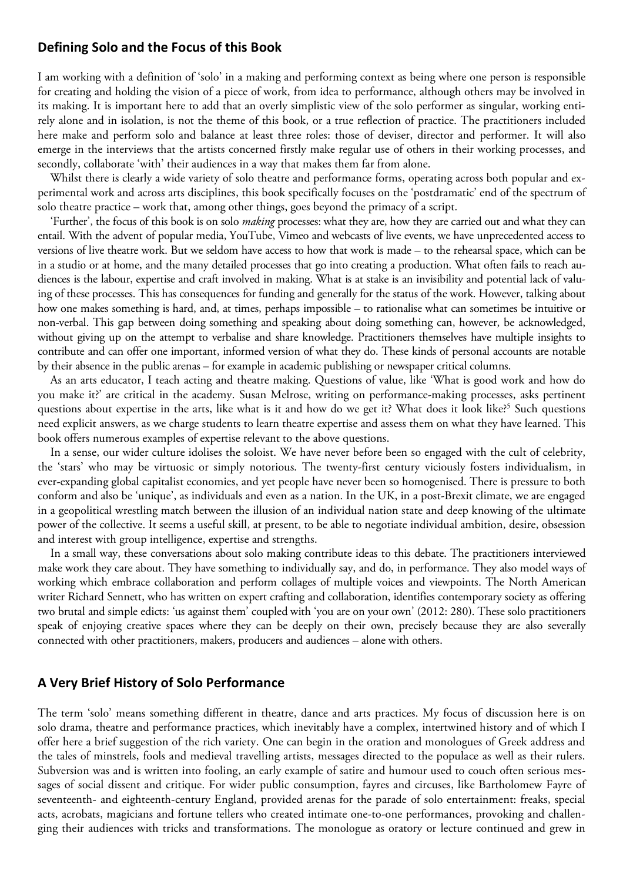### **Defining Solo and the Focus of this Book**

I am working with a definition of 'solo' in a making and performing context as being where one person is responsible for creating and holding the vision of a piece of work, from idea to performance, although others may be involved in its making. It is important here to add that an overly simplistic view of the solo performer as singular, working entirely alone and in isolation, is not the theme of this book, or a true reflection of practice. The practitioners included here make and perform solo and balance at least three roles: those of deviser, director and performer. It will also emerge in the interviews that the artists concerned firstly make regular use of others in their working processes, and secondly, collaborate 'with' their audiences in a way that makes them far from alone.

Whilst there is clearly a wide variety of solo theatre and performance forms, operating across both popular and experimental work and across arts disciplines, this book specifically focuses on the 'postdramatic' end of the spectrum of solo theatre practice – work that, among other things, goes beyond the primacy of a script.

'Further', the focus of this book is on solo *making* processes: what they are, how they are carried out and what they can entail. With the advent of popular media, YouTube, Vimeo and webcasts of live events, we have unprecedented access to versions of live theatre work. But we seldom have access to how that work is made – to the rehearsal space, which can be in a studio or at home, and the many detailed processes that go into creating a production. What often fails to reach audiences is the labour, expertise and craft involved in making. What is at stake is an invisibility and potential lack of valuing of these processes. This has consequences for funding and generally for the status of the work. However, talking about how one makes something is hard, and, at times, perhaps impossible – to rationalise what can sometimes be intuitive or non-verbal. This gap between doing something and speaking about doing something can, however, be acknowledged, without giving up on the attempt to verbalise and share knowledge. Practitioners themselves have multiple insights to contribute and can offer one important, informed version of what they do. These kinds of personal accounts are notable by their absence in the public arenas – for example in academic publishing or newspaper critical columns.

As an arts educator, I teach acting and theatre making. Questions of value, like 'What is good work and how do you make it?' are critical in the academy. Susan Melrose, writing on performance-making processes, asks pertinent questions about expertise in the arts, like what is it and how do we get it? What does it look like?<sup>5</sup> Such questions need explicit answers, as we charge students to learn theatre expertise and assess them on what they have learned. This book offers numerous examples of expertise relevant to the above questions.

In a sense, our wider culture idolises the soloist. We have never before been so engaged with the cult of celebrity, the 'stars' who may be virtuosic or simply notorious. The twenty-first century viciously fosters individualism, in ever-expanding global capitalist economies, and yet people have never been so homogenised. There is pressure to both conform and also be 'unique', as individuals and even as a nation. In the UK, in a post-Brexit climate, we are engaged in a geopolitical wrestling match between the illusion of an individual nation state and deep knowing of the ultimate power of the collective. It seems a useful skill, at present, to be able to negotiate individual ambition, desire, obsession and interest with group intelligence, expertise and strengths.

In a small way, these conversations about solo making contribute ideas to this debate. The practitioners interviewed make work they care about. They have something to individually say, and do, in performance. They also model ways of working which embrace collaboration and perform collages of multiple voices and viewpoints. The North American writer Richard Sennett, who has written on expert crafting and collaboration, identifies contemporary society as offering two brutal and simple edicts: 'us against them' coupled with 'you are on your own' (2012: 280). These solo practitioners speak of enjoying creative spaces where they can be deeply on their own, precisely because they are also severally connected with other practitioners, makers, producers and audiences – alone with others.

### **A Very Brief History of Solo Performance**

The term 'solo' means something different in theatre, dance and arts practices. My focus of discussion here is on solo drama, theatre and performance practices, which inevitably have a complex, intertwined history and of which I offer here a brief suggestion of the rich variety. One can begin in the oration and monologues of Greek address and the tales of minstrels, fools and medieval travelling artists, messages directed to the populace as well as their rulers. Subversion was and is written into fooling, an early example of satire and humour used to couch often serious messages of social dissent and critique. For wider public consumption, fayres and circuses, like Bartholomew Fayre of seventeenth- and eighteenth-century England, provided arenas for the parade of solo entertainment: freaks, special acts, acrobats, magicians and fortune tellers who created intimate one-to-one performances, provoking and challenging their audiences with tricks and transformations. The monologue as oratory or lecture continued and grew in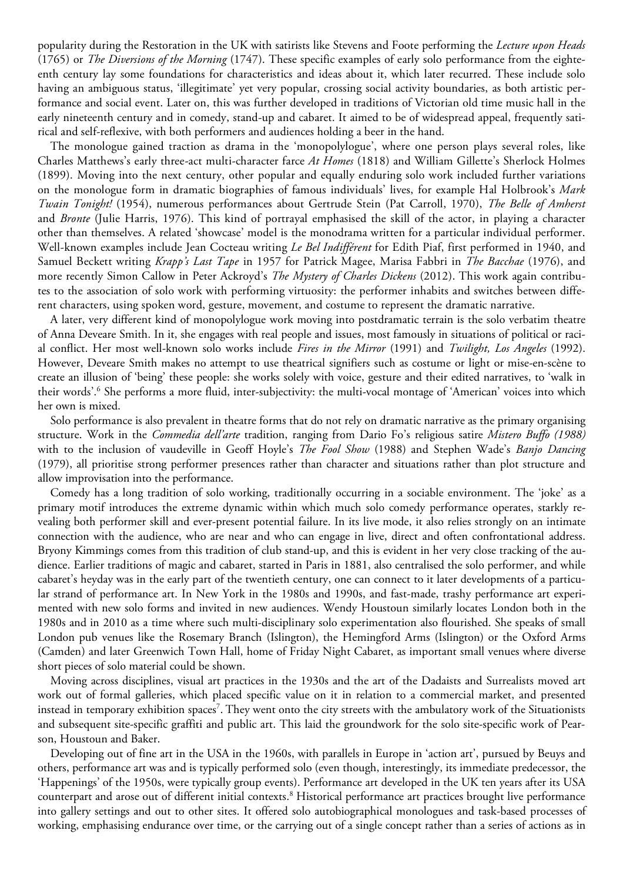popularity during the Restoration in the UK with satirists like Stevens and Foote performing the *Lecture upon Heads* (1765) or *The Diversions of the Morning* (1747). These specific examples of early solo performance from the eighteenth century lay some foundations for characteristics and ideas about it, which later recurred. These include solo having an ambiguous status, 'illegitimate' yet very popular, crossing social activity boundaries, as both artistic performance and social event. Later on, this was further developed in traditions of Victorian old time music hall in the early nineteenth century and in comedy, stand-up and cabaret. It aimed to be of widespread appeal, frequently satirical and self-reflexive, with both performers and audiences holding a beer in the hand.

The monologue gained traction as drama in the 'monopolylogue', where one person plays several roles, like Charles Matthews's early three-act multi-character farce *At Homes* (1818) and William Gillette's Sherlock Holmes (1899). Moving into the next century, other popular and equally enduring solo work included further variations on the monologue form in dramatic biographies of famous individuals' lives, for example Hal Holbrook's *Mark Twain Tonight!* (1954), numerous performances about Gertrude Stein (Pat Carroll, 1970), *The Belle of Amherst* and *Bronte* (Julie Harris, 1976). This kind of portrayal emphasised the skill of the actor, in playing a character other than themselves. A related 'showcase' model is the monodrama written for a particular individual performer. Well-known examples include Jean Cocteau writing *Le Bel Indifférent* for Edith Piaf, first performed in 1940, and Samuel Beckett writing *Krapp's Last Tape* in 1957 for Patrick Magee, Marisa Fabbri in *The Bacchae* (1976), and more recently Simon Callow in Peter Ackroyd's *The Mystery of Charles Dickens* (2012). This work again contributes to the association of solo work with performing virtuosity: the performer inhabits and switches between different characters, using spoken word, gesture, movement, and costume to represent the dramatic narrative.

A later, very different kind of monopolylogue work moving into postdramatic terrain is the solo verbatim theatre of Anna Deveare Smith. In it, she engages with real people and issues, most famously in situations of political or racial conflict. Her most well-known solo works include *Fires in the Mirror* (1991) and *Twilight, Los Angeles* (1992). However, Deveare Smith makes no attempt to use theatrical signifiers such as costume or light or mise-en-scène to create an illusion of 'being' these people: she works solely with voice, gesture and their edited narratives, to 'walk in their words'.6 She performs a more fluid, inter-subjectivity: the multi-vocal montage of 'American' voices into which her own is mixed.

Solo performance is also prevalent in theatre forms that do not rely on dramatic narrative as the primary organising structure. Work in the *Commedia dell'arte* tradition, ranging from Dario Fo's religious satire *Mistero Buffo (1988)* with to the inclusion of vaudeville in Geoff Hoyle's *The Fool Show* (1988) and Stephen Wade's *Banjo Dancing* (1979), all prioritise strong performer presences rather than character and situations rather than plot structure and allow improvisation into the performance.

Comedy has a long tradition of solo working, traditionally occurring in a sociable environment. The 'joke' as a primary motif introduces the extreme dynamic within which much solo comedy performance operates, starkly revealing both performer skill and ever-present potential failure. In its live mode, it also relies strongly on an intimate connection with the audience, who are near and who can engage in live, direct and often confrontational address. Bryony Kimmings comes from this tradition of club stand-up, and this is evident in her very close tracking of the audience. Earlier traditions of magic and cabaret, started in Paris in 1881, also centralised the solo performer, and while cabaret's heyday was in the early part of the twentieth century, one can connect to it later developments of a particular strand of performance art. In New York in the 1980s and 1990s, and fast-made, trashy performance art experimented with new solo forms and invited in new audiences. Wendy Houstoun similarly locates London both in the 1980s and in 2010 as a time where such multi-disciplinary solo experimentation also flourished. She speaks of small London pub venues like the Rosemary Branch (Islington), the Hemingford Arms (Islington) or the Oxford Arms (Camden) and later Greenwich Town Hall, home of Friday Night Cabaret, as important small venues where diverse short pieces of solo material could be shown.

Moving across disciplines, visual art practices in the 1930s and the art of the Dadaists and Surrealists moved art work out of formal galleries, which placed specific value on it in relation to a commercial market, and presented instead in temporary exhibition spaces<sup>7</sup>. They went onto the city streets with the ambulatory work of the Situationists and subsequent site-specific graffiti and public art. This laid the groundwork for the solo site-specific work of Pearson, Houstoun and Baker.

Developing out of fine art in the USA in the 1960s, with parallels in Europe in 'action art', pursued by Beuys and others, performance art was and is typically performed solo (even though, interestingly, its immediate predecessor, the 'Happenings' of the 1950s, were typically group events). Performance art developed in the UK ten years after its USA counterpart and arose out of different initial contexts.8 Historical performance art practices brought live performance into gallery settings and out to other sites. It offered solo autobiographical monologues and task-based processes of working, emphasising endurance over time, or the carrying out of a single concept rather than a series of actions as in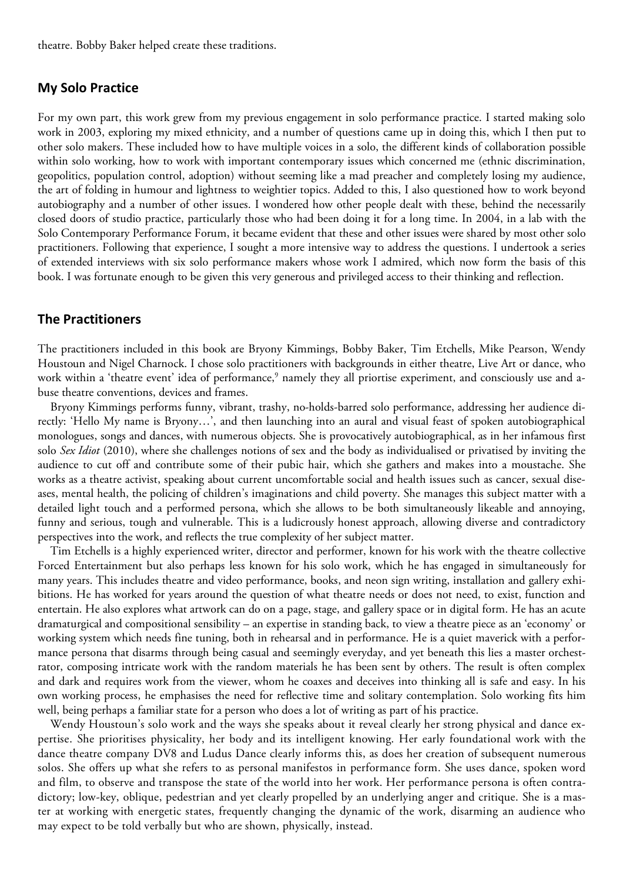theatre. Bobby Baker helped create these traditions.

### **My Solo Practice**

For my own part, this work grew from my previous engagement in solo performance practice. I started making solo work in 2003, exploring my mixed ethnicity, and a number of questions came up in doing this, which I then put to other solo makers. These included how to have multiple voices in a solo, the different kinds of collaboration possible within solo working, how to work with important contemporary issues which concerned me (ethnic discrimination, geopolitics, population control, adoption) without seeming like a mad preacher and completely losing my audience, the art of folding in humour and lightness to weightier topics. Added to this, I also questioned how to work beyond autobiography and a number of other issues. I wondered how other people dealt with these, behind the necessarily closed doors of studio practice, particularly those who had been doing it for a long time. In 2004, in a lab with the Solo Contemporary Performance Forum, it became evident that these and other issues were shared by most other solo practitioners. Following that experience, I sought a more intensive way to address the questions. I undertook a series of extended interviews with six solo performance makers whose work I admired, which now form the basis of this book. I was fortunate enough to be given this very generous and privileged access to their thinking and reflection.

#### **The Practitioners**

The practitioners included in this book are Bryony Kimmings, Bobby Baker, Tim Etchells, Mike Pearson, Wendy Houstoun and Nigel Charnock. I chose solo practitioners with backgrounds in either theatre, Live Art or dance, who work within a 'theatre event' idea of performance,<sup>9</sup> namely they all priortise experiment, and consciously use and abuse theatre conventions, devices and frames.

Bryony Kimmings performs funny, vibrant, trashy, no-holds-barred solo performance, addressing her audience directly: 'Hello My name is Bryony…', and then launching into an aural and visual feast of spoken autobiographical monologues, songs and dances, with numerous objects. She is provocatively autobiographical, as in her infamous first solo *Sex Idiot* (2010), where she challenges notions of sex and the body as individualised or privatised by inviting the audience to cut off and contribute some of their pubic hair, which she gathers and makes into a moustache. She works as a theatre activist, speaking about current uncomfortable social and health issues such as cancer, sexual diseases, mental health, the policing of children's imaginations and child poverty. She manages this subject matter with a detailed light touch and a performed persona, which she allows to be both simultaneously likeable and annoying, funny and serious, tough and vulnerable. This is a ludicrously honest approach, allowing diverse and contradictory perspectives into the work, and reflects the true complexity of her subject matter.

Tim Etchells is a highly experienced writer, director and performer, known for his work with the theatre collective Forced Entertainment but also perhaps less known for his solo work, which he has engaged in simultaneously for many years. This includes theatre and video performance, books, and neon sign writing, installation and gallery exhibitions. He has worked for years around the question of what theatre needs or does not need, to exist, function and entertain. He also explores what artwork can do on a page, stage, and gallery space or in digital form. He has an acute dramaturgical and compositional sensibility – an expertise in standing back, to view a theatre piece as an 'economy' or working system which needs fine tuning, both in rehearsal and in performance. He is a quiet maverick with a performance persona that disarms through being casual and seemingly everyday, and yet beneath this lies a master orchestrator, composing intricate work with the random materials he has been sent by others. The result is often complex and dark and requires work from the viewer, whom he coaxes and deceives into thinking all is safe and easy. In his own working process, he emphasises the need for reflective time and solitary contemplation. Solo working fits him well, being perhaps a familiar state for a person who does a lot of writing as part of his practice.

Wendy Houstoun's solo work and the ways she speaks about it reveal clearly her strong physical and dance expertise. She prioritises physicality, her body and its intelligent knowing. Her early foundational work with the dance theatre company DV8 and Ludus Dance clearly informs this, as does her creation of subsequent numerous solos. She offers up what she refers to as personal manifestos in performance form. She uses dance, spoken word and film, to observe and transpose the state of the world into her work. Her performance persona is often contradictory; low-key, oblique, pedestrian and yet clearly propelled by an underlying anger and critique. She is a master at working with energetic states, frequently changing the dynamic of the work, disarming an audience who may expect to be told verbally but who are shown, physically, instead.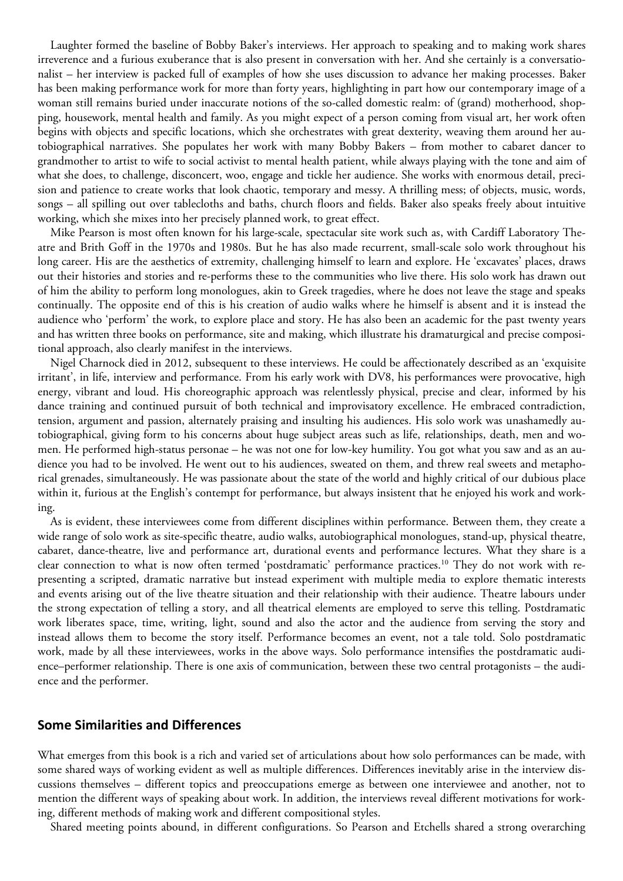Laughter formed the baseline of Bobby Baker's interviews. Her approach to speaking and to making work shares irreverence and a furious exuberance that is also present in conversation with her. And she certainly is a conversationalist – her interview is packed full of examples of how she uses discussion to advance her making processes. Baker has been making performance work for more than forty years, highlighting in part how our contemporary image of a woman still remains buried under inaccurate notions of the so-called domestic realm: of (grand) motherhood, shopping, housework, mental health and family. As you might expect of a person coming from visual art, her work often begins with objects and specific locations, which she orchestrates with great dexterity, weaving them around her autobiographical narratives. She populates her work with many Bobby Bakers – from mother to cabaret dancer to grandmother to artist to wife to social activist to mental health patient, while always playing with the tone and aim of what she does, to challenge, disconcert, woo, engage and tickle her audience. She works with enormous detail, precision and patience to create works that look chaotic, temporary and messy. A thrilling mess; of objects, music, words, songs – all spilling out over tablecloths and baths, church floors and fields. Baker also speaks freely about intuitive working, which she mixes into her precisely planned work, to great effect.

Mike Pearson is most often known for his large-scale, spectacular site work such as, with Cardiff Laboratory Theatre and Brith Goff in the 1970s and 1980s. But he has also made recurrent, small-scale solo work throughout his long career. His are the aesthetics of extremity, challenging himself to learn and explore. He 'excavates' places, draws out their histories and stories and re-performs these to the communities who live there. His solo work has drawn out of him the ability to perform long monologues, akin to Greek tragedies, where he does not leave the stage and speaks continually. The opposite end of this is his creation of audio walks where he himself is absent and it is instead the audience who 'perform' the work, to explore place and story. He has also been an academic for the past twenty years and has written three books on performance, site and making, which illustrate his dramaturgical and precise compositional approach, also clearly manifest in the interviews.

Nigel Charnock died in 2012, subsequent to these interviews. He could be affectionately described as an 'exquisite irritant', in life, interview and performance. From his early work with DV8, his performances were provocative, high energy, vibrant and loud. His choreographic approach was relentlessly physical, precise and clear, informed by his dance training and continued pursuit of both technical and improvisatory excellence. He embraced contradiction, tension, argument and passion, alternately praising and insulting his audiences. His solo work was unashamedly autobiographical, giving form to his concerns about huge subject areas such as life, relationships, death, men and women. He performed high-status personae – he was not one for low-key humility. You got what you saw and as an audience you had to be involved. He went out to his audiences, sweated on them, and threw real sweets and metaphorical grenades, simultaneously. He was passionate about the state of the world and highly critical of our dubious place within it, furious at the English's contempt for performance, but always insistent that he enjoyed his work and working.

As is evident, these interviewees come from different disciplines within performance. Between them, they create a wide range of solo work as site-specific theatre, audio walks, autobiographical monologues, stand-up, physical theatre, cabaret, dance-theatre, live and performance art, durational events and performance lectures. What they share is a clear connection to what is now often termed 'postdramatic' performance practices.10 They do not work with representing a scripted, dramatic narrative but instead experiment with multiple media to explore thematic interests and events arising out of the live theatre situation and their relationship with their audience. Theatre labours under the strong expectation of telling a story, and all theatrical elements are employed to serve this telling. Postdramatic work liberates space, time, writing, light, sound and also the actor and the audience from serving the story and instead allows them to become the story itself. Performance becomes an event, not a tale told. Solo postdramatic work, made by all these interviewees, works in the above ways. Solo performance intensifies the postdramatic audience–performer relationship. There is one axis of communication, between these two central protagonists – the audience and the performer.

#### **Some Similarities and Differences**

What emerges from this book is a rich and varied set of articulations about how solo performances can be made, with some shared ways of working evident as well as multiple differences. Differences inevitably arise in the interview discussions themselves – different topics and preoccupations emerge as between one interviewee and another, not to mention the different ways of speaking about work. In addition, the interviews reveal different motivations for working, different methods of making work and different compositional styles.

Shared meeting points abound, in different configurations. So Pearson and Etchells shared a strong overarching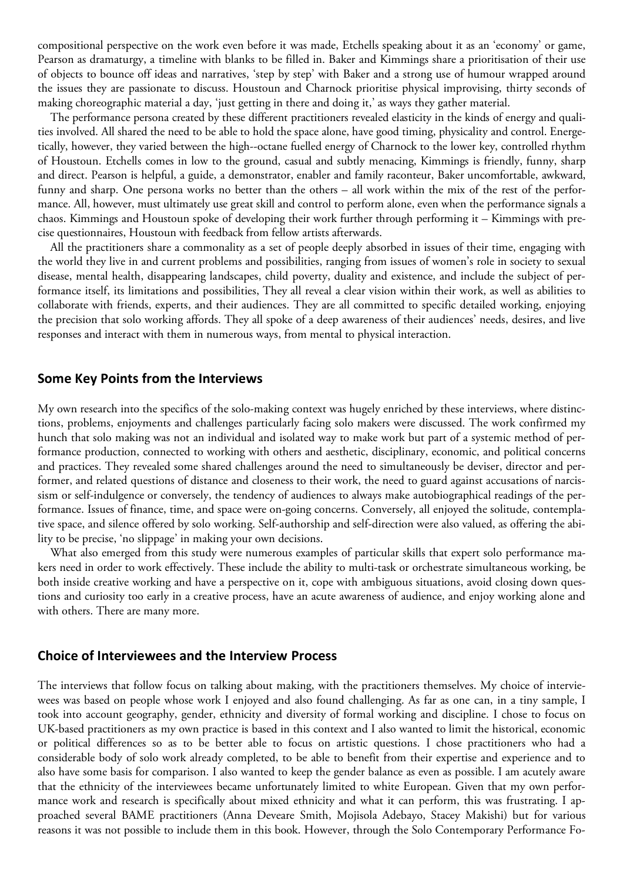compositional perspective on the work even before it was made, Etchells speaking about it as an 'economy' or game, Pearson as dramaturgy, a timeline with blanks to be filled in. Baker and Kimmings share a prioritisation of their use of objects to bounce off ideas and narratives, 'step by step' with Baker and a strong use of humour wrapped around the issues they are passionate to discuss. Houstoun and Charnock prioritise physical improvising, thirty seconds of making choreographic material a day, 'just getting in there and doing it,' as ways they gather material.

The performance persona created by these different practitioners revealed elasticity in the kinds of energy and qualities involved. All shared the need to be able to hold the space alone, have good timing, physicality and control. Energetically, however, they varied between the high--octane fuelled energy of Charnock to the lower key, controlled rhythm of Houstoun. Etchells comes in low to the ground, casual and subtly menacing, Kimmings is friendly, funny, sharp and direct. Pearson is helpful, a guide, a demonstrator, enabler and family raconteur, Baker uncomfortable, awkward, funny and sharp. One persona works no better than the others – all work within the mix of the rest of the performance. All, however, must ultimately use great skill and control to perform alone, even when the performance signals a chaos. Kimmings and Houstoun spoke of developing their work further through performing it – Kimmings with precise questionnaires, Houstoun with feedback from fellow artists afterwards.

All the practitioners share a commonality as a set of people deeply absorbed in issues of their time, engaging with the world they live in and current problems and possibilities, ranging from issues of women's role in society to sexual disease, mental health, disappearing landscapes, child poverty, duality and existence, and include the subject of performance itself, its limitations and possibilities, They all reveal a clear vision within their work, as well as abilities to collaborate with friends, experts, and their audiences. They are all committed to specific detailed working, enjoying the precision that solo working affords. They all spoke of a deep awareness of their audiences' needs, desires, and live responses and interact with them in numerous ways, from mental to physical interaction.

#### **Some Key Points from the Interviews**

My own research into the specifics of the solo-making context was hugely enriched by these interviews, where distinctions, problems, enjoyments and challenges particularly facing solo makers were discussed. The work confirmed my hunch that solo making was not an individual and isolated way to make work but part of a systemic method of performance production, connected to working with others and aesthetic, disciplinary, economic, and political concerns and practices. They revealed some shared challenges around the need to simultaneously be deviser, director and performer, and related questions of distance and closeness to their work, the need to guard against accusations of narcissism or self-indulgence or conversely, the tendency of audiences to always make autobiographical readings of the performance. Issues of finance, time, and space were on-going concerns. Conversely, all enjoyed the solitude, contemplative space, and silence offered by solo working. Self-authorship and self-direction were also valued, as offering the ability to be precise, 'no slippage' in making your own decisions.

What also emerged from this study were numerous examples of particular skills that expert solo performance makers need in order to work effectively. These include the ability to multi-task or orchestrate simultaneous working, be both inside creative working and have a perspective on it, cope with ambiguous situations, avoid closing down questions and curiosity too early in a creative process, have an acute awareness of audience, and enjoy working alone and with others. There are many more.

#### **Choice of Interviewees and the Interview Process**

The interviews that follow focus on talking about making, with the practitioners themselves. My choice of interviewees was based on people whose work I enjoyed and also found challenging. As far as one can, in a tiny sample, I took into account geography, gender, ethnicity and diversity of formal working and discipline. I chose to focus on UK-based practitioners as my own practice is based in this context and I also wanted to limit the historical, economic or political differences so as to be better able to focus on artistic questions. I chose practitioners who had a considerable body of solo work already completed, to be able to benefit from their expertise and experience and to also have some basis for comparison. I also wanted to keep the gender balance as even as possible. I am acutely aware that the ethnicity of the interviewees became unfortunately limited to white European. Given that my own performance work and research is specifically about mixed ethnicity and what it can perform, this was frustrating. I approached several BAME practitioners (Anna Deveare Smith, Mojisola Adebayo, Stacey Makishi) but for various reasons it was not possible to include them in this book. However, through the Solo Contemporary Performance Fo